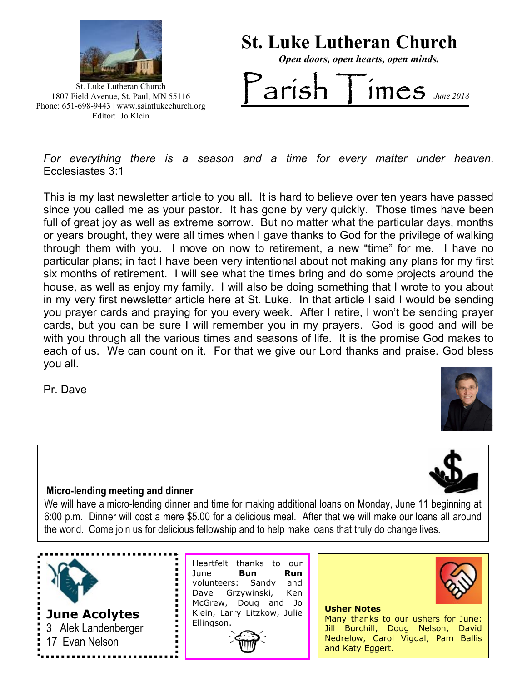

St. Luke Lutheran Church 1807 Field Avenue, St. Paul, MN 55116 Phone: 651-698-9443 | www.saintlukechurch.org Editor: Jo Klein

# St. Luke Lutheran Church Open doors, open hearts, open minds.  $\overline{\text{arish}}$  Times  $\overline{\text{Imes}}$

For everything there is a season and a time for every matter under heaven. Ecclesiastes 3:1

This is my last newsletter article to you all. It is hard to believe over ten years have passed since you called me as your pastor. It has gone by very quickly. Those times have been full of great joy as well as extreme sorrow. But no matter what the particular days, months or years brought, they were all times when I gave thanks to God for the privilege of walking through them with you. I move on now to retirement, a new "time" for me. I have no particular plans; in fact I have been very intentional about not making any plans for my first six months of retirement. I will see what the times bring and do some projects around the house, as well as enjoy my family. I will also be doing something that I wrote to you about in my very first newsletter article here at St. Luke. In that article I said I would be sending you prayer cards and praying for you every week. After I retire, I won't be sending prayer cards, but you can be sure I will remember you in my prayers. God is good and will be with you through all the various times and seasons of life. It is the promise God makes to each of us. We can count on it. For that we give our Lord thanks and praise. God bless you all.

Pr. Dave





### Micro-lending meeting and dinner

We will have a micro-lending dinner and time for making additional loans on Monday, June 11 beginning at 6:00 p.m. Dinner will cost a mere \$5.00 for a delicious meal. After that we will make our loans all around the world. Come join us for delicious fellowship and to help make loans that truly do change lives.



Heartfelt thanks to our June **Bun Run** volunteers: Sandy and Dave Grzywinski, Ken McGrew, Doug and Jo Klein, Larry Litzkow, Julie Ellingson.





Usher Notes Many thanks to our ushers for June: Jill Burchill, Doug Nelson, David Nedrelow, Carol Vigdal, Pam Ballis and Katy Eggert.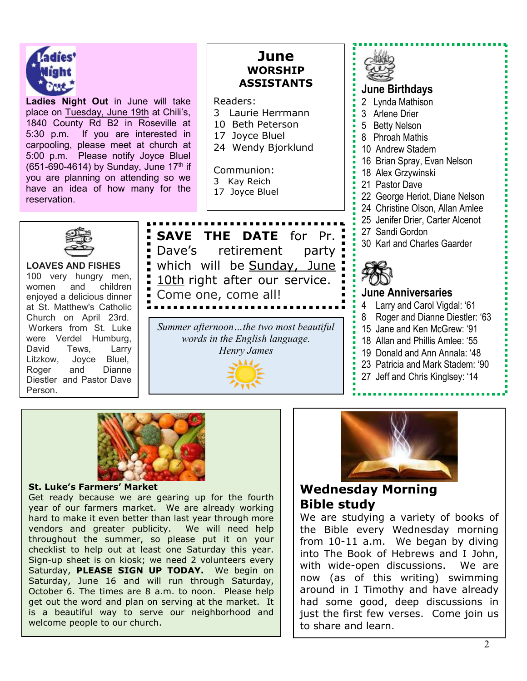

Ladies Night Out in June will take place on Tuesday, June 19th at Chili's, 1840 County Rd B2 in Roseville at 5:30 p.m. If you are interested in carpooling, please meet at church at 5:00 p.m. Please notify Joyce Bluel (651-690-4614) by Sunday, June  $17<sup>th</sup>$  if you are planning on attending so we have an idea of how many for the reservation.

## June WORSHIP ASSISTANTS

Readers:

- 3 Laurie Herrmann
- 10 Beth Peterson
- 17 Joyce Bluel
- 24 Wendy Bjorklund

Communion:

- 
- 



3 Kay Reich 17 Joyce Bluel



LOAVES AND FISHES 100 very hungry men, women and children enjoyed a delicious dinner at St. Matthew's Catholic Church on April 23rd. Workers from St. Luke were Verdel Humburg, David Tews, Larry Litzkow, Joyce Bluel, Roger and Dianne Diestler and Pastor Dave Person.

SAVE THE DATE for Pr. Dave's retirement party which will be Sunday, June 10th right after our service. Come one, come all!

Summer afternoon…the two most beautiful words in the English language. Henry James

## June Birthdays 2 Lynda Mathison 3 Arlene Drier

- 5 Betty Nelson 8 Phroah Mathis
	- 10 Andrew Stadem
	-
	- 16 Brian Spray, Evan Nelson
	- 18 Alex Grzywinski
	- 21 Pastor Dave
	- 22 George Heriot, Diane Nelson
	- 24 Christine Olson, Allan Amlee
	- 25 Jenifer Drier, Carter Alcenot
	- 27 Sandi Gordon
	- 30 Karl and Charles Gaarder



### June Anniversaries

- 4 Larry and Carol Vigdal: '61
- 8 Roger and Dianne Diestler: '63
- 15 Jane and Ken McGrew: '91
- 18 Allan and Phillis Amlee: '55
- 19 Donald and Ann Annala: '48
- 23 Patricia and Mark Stadem: '90
- 27 Jeff and Chris Kinglsey: '14



### St. Luke's Farmers' Market

Get ready because we are gearing up for the fourth year of our farmers market. We are already working hard to make it even better than last year through more vendors and greater publicity. We will need help throughout the summer, so please put it on your checklist to help out at least one Saturday this year. Sign-up sheet is on kiosk; we need 2 volunteers every Saturday, PLEASE SIGN UP TODAY. We begin on Saturday, June 16 and will run through Saturday, October 6. The times are 8 a.m. to noon. Please help get out the word and plan on serving at the market. It is a beautiful way to serve our neighborhood and welcome people to our church.



## Wednesday Morning Bible study

We are studying a variety of books of the Bible every Wednesday morning from 10-11 a.m. We began by diving into The Book of Hebrews and I John, with wide-open discussions. We are now (as of this writing) swimming around in I Timothy and have already had some good, deep discussions in just the first few verses. Come join us to share and learn.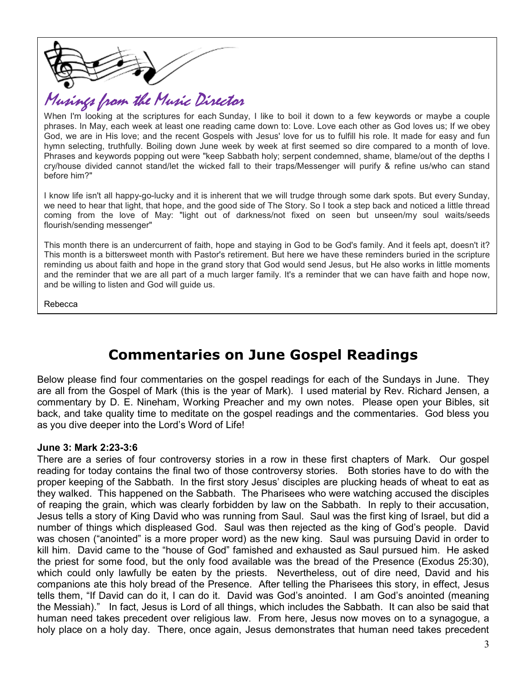

## Musings from the Music Director

When I'm looking at the scriptures for each Sunday, I like to boil it down to a few keywords or maybe a couple phrases. In May, each week at least one reading came down to: Love. Love each other as God loves us; If we obey God, we are in His love; and the recent Gospels with Jesus' love for us to fulfill his role. It made for easy and fun hymn selecting, truthfully. Boiling down June week by week at first seemed so dire compared to a month of love. Phrases and keywords popping out were "keep Sabbath holy; serpent condemned, shame, blame/out of the depths I cry/house divided cannot stand/let the wicked fall to their traps/Messenger will purify & refine us/who can stand before him?"

I know life isn't all happy-go-lucky and it is inherent that we will trudge through some dark spots. But every Sunday, we need to hear that light, that hope, and the good side of The Story. So I took a step back and noticed a little thread coming from the love of May: "light out of darkness/not fixed on seen but unseen/my soul waits/seeds flourish/sending messenger"

This month there is an undercurrent of faith, hope and staying in God to be God's family. And it feels apt, doesn't it? This month is a bittersweet month with Pastor's retirement. But here we have these reminders buried in the scripture reminding us about faith and hope in the grand story that God would send Jesus, but He also works in little moments and the reminder that we are all part of a much larger family. It's a reminder that we can have faith and hope now, and be willing to listen and God will guide us.

Rebecca

## Commentaries on June Gospel Readings

Below please find four commentaries on the gospel readings for each of the Sundays in June. They are all from the Gospel of Mark (this is the year of Mark). I used material by Rev. Richard Jensen, a commentary by D. E. Nineham, Working Preacher and my own notes. Please open your Bibles, sit back, and take quality time to meditate on the gospel readings and the commentaries. God bless you as you dive deeper into the Lord's Word of Life!

#### June 3: Mark 2:23-3:6

There are a series of four controversy stories in a row in these first chapters of Mark. Our gospel reading for today contains the final two of those controversy stories. Both stories have to do with the proper keeping of the Sabbath. In the first story Jesus' disciples are plucking heads of wheat to eat as they walked. This happened on the Sabbath. The Pharisees who were watching accused the disciples of reaping the grain, which was clearly forbidden by law on the Sabbath. In reply to their accusation, Jesus tells a story of King David who was running from Saul. Saul was the first king of Israel, but did a number of things which displeased God. Saul was then rejected as the king of God's people. David was chosen ("anointed" is a more proper word) as the new king. Saul was pursuing David in order to kill him. David came to the "house of God" famished and exhausted as Saul pursued him. He asked the priest for some food, but the only food available was the bread of the Presence (Exodus 25:30), which could only lawfully be eaten by the priests. Nevertheless, out of dire need, David and his companions ate this holy bread of the Presence. After telling the Pharisees this story, in effect, Jesus tells them, "If David can do it, I can do it. David was God's anointed. I am God's anointed (meaning the Messiah)." In fact, Jesus is Lord of all things, which includes the Sabbath. It can also be said that human need takes precedent over religious law. From here, Jesus now moves on to a synagogue, a holy place on a holy day. There, once again, Jesus demonstrates that human need takes precedent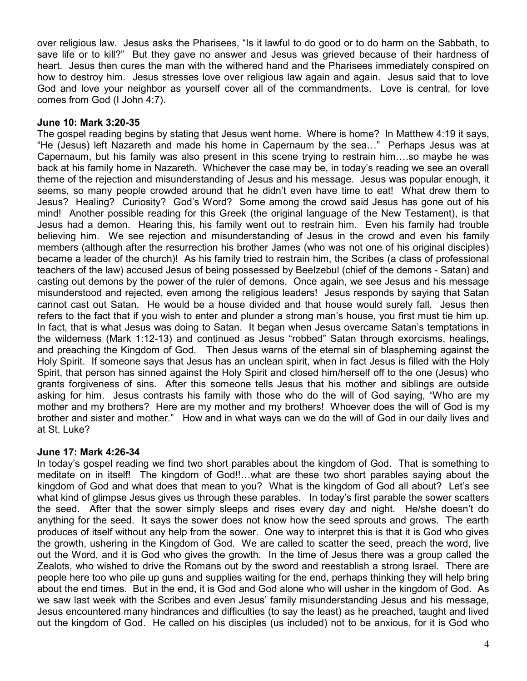over religious law. Jesus asks the Pharisees, "Is it lawful to do good or to do harm on the Sabbath, to save life or to kill?" But they gave no answer and Jesus was grieved because of their hardness of heart. Jesus then cures the man with the withered hand and the Pharisees immediately conspired on how to destroy him. Jesus stresses love over religious law again and again. Jesus said that to love God and love your neighbor as yourself cover all of the commandments. Love is central, for love comes from God (I John 4:7).

### June 10: Mark 3:20-35

The gospel reading begins by stating that Jesus went home. Where is home? In Matthew 4:19 it says, "He (Jesus) left Nazareth and made his home in Capernaum by the sea…" Perhaps Jesus was at Capernaum, but his family was also present in this scene trying to restrain him….so maybe he was back at his family home in Nazareth. Whichever the case may be, in today's reading we see an overall theme of the rejection and misunderstanding of Jesus and his message. Jesus was popular enough, it seems, so many people crowded around that he didn't even have time to eat! What drew them to Jesus? Healing? Curiosity? God's Word? Some among the crowd said Jesus has gone out of his mind! Another possible reading for this Greek (the original language of the New Testament), is that Jesus had a demon. Hearing this, his family went out to restrain him. Even his family had trouble believing him. We see rejection and misunderstanding of Jesus in the crowd and even his family members (although after the resurrection his brother James (who was not one of his original disciples) became a leader of the church)! As his family tried to restrain him, the Scribes (a class of professional teachers of the law) accused Jesus of being possessed by Beelzebul (chief of the demons - Satan) and casting out demons by the power of the ruler of demons. Once again, we see Jesus and his message misunderstood and rejected, even among the religious leaders! Jesus responds by saying that Satan cannot cast out Satan. He would be a house divided and that house would surely fall. Jesus then refers to the fact that if you wish to enter and plunder a strong man's house, you first must tie him up. In fact, that is what Jesus was doing to Satan. It began when Jesus overcame Satan's temptations in the wilderness (Mark 1:12-13) and continued as Jesus "robbed" Satan through exorcisms, healings, and preaching the Kingdom of God. Then Jesus warns of the eternal sin of blaspheming against the Holy Spirit. If someone says that Jesus has an unclean spirit, when in fact Jesus is filled with the Holy Spirit, that person has sinned against the Holy Spirit and closed him/herself off to the one (Jesus) who grants forgiveness of sins. After this someone tells Jesus that his mother and siblings are outside asking for him. Jesus contrasts his family with those who do the will of God saying, "Who are my mother and my brothers? Here are my mother and my brothers! Whoever does the will of God is my brother and sister and mother." How and in what ways can we do the will of God in our daily lives and at St. Luke?

### June 17: Mark 4:26-34

In today's gospel reading we find two short parables about the kingdom of God. That is something to meditate on in itself! The kingdom of God!!…what are these two short parables saying about the kingdom of God and what does that mean to you? What is the kingdom of God all about? Let's see what kind of glimpse Jesus gives us through these parables. In today's first parable the sower scatters the seed. After that the sower simply sleeps and rises every day and night. He/she doesn't do anything for the seed. It says the sower does not know how the seed sprouts and grows. The earth produces of itself without any help from the sower. One way to interpret this is that it is God who gives the growth, ushering in the Kingdom of God. We are called to scatter the seed, preach the word, live out the Word, and it is God who gives the growth. In the time of Jesus there was a group called the Zealots, who wished to drive the Romans out by the sword and reestablish a strong Israel. There are people here too who pile up guns and supplies waiting for the end, perhaps thinking they will help bring about the end times. But in the end, it is God and God alone who will usher in the kingdom of God. As we saw last week with the Scribes and even Jesus' family misunderstanding Jesus and his message, Jesus encountered many hindrances and difficulties (to say the least) as he preached, taught and lived out the kingdom of God. He called on his disciples (us included) not to be anxious, for it is God who